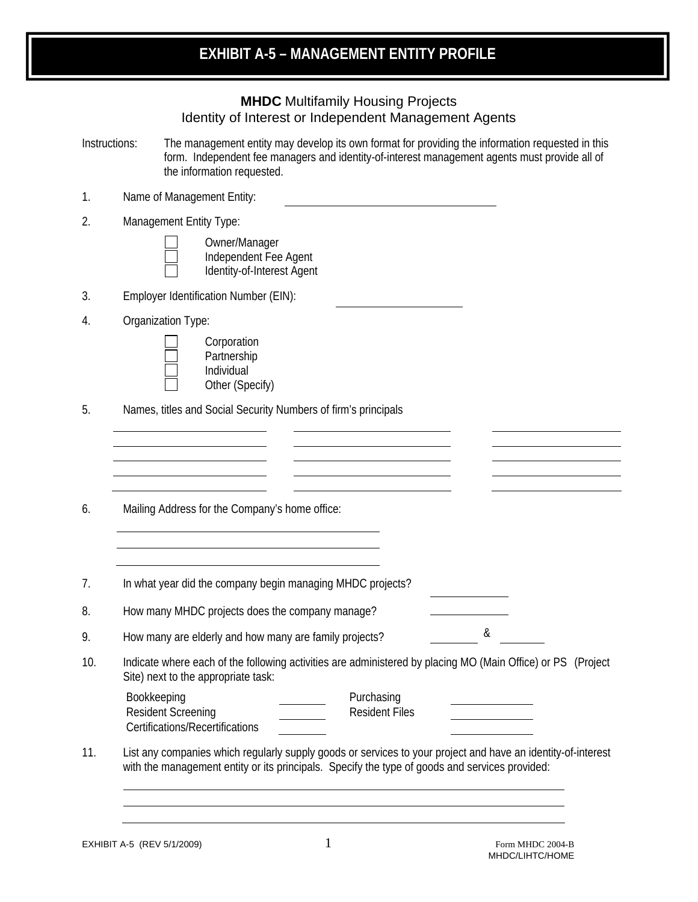| <b>MHDC</b> Multifamily Housing Projects              |
|-------------------------------------------------------|
| Identity of Interest or Independent Management Agents |

| Instructions: | The management entity may develop its own format for providing the information requested in this |
|---------------|--------------------------------------------------------------------------------------------------|
|               | form. Independent fee managers and identity-of-interest management agents must provide all of    |
|               | the information requested.                                                                       |

- 1. Name of Management Entity:
- 2. Management Entity Type:

| Owner/Manager              |
|----------------------------|
| Independent Fee Agent      |
| Identity-of-Interest Agent |

- 3. Employer Identification Number (EIN):
- 4. Organization Type:



5. Names, titles and Social Security Numbers of firm's principals

| 6. |  |  | Mailing Address for the Company's home office: |  |
|----|--|--|------------------------------------------------|--|
|    |  |  |                                                |  |

7. In what year did the company begin managing MHDC projects?

<u> 1980 - Johann Barbara, martxa amerikan personal (h. 1980).</u>

8. How many MHDC projects does the company manage?

9. How many are elderly and how many are family projects?

10. Indicate where each of the following activities are administered by placing MO (Main Office) or PS (Project Site) next to the appropriate task:

| Bookkeeping                     | Purchasing     |  |
|---------------------------------|----------------|--|
| Resident Screening              | Resident Files |  |
| Certifications/Recertifications |                |  |

11. List any companies which regularly supply goods or services to your project and have an identity-of-interest with the management entity or its principals. Specify the type of goods and services provided:

&